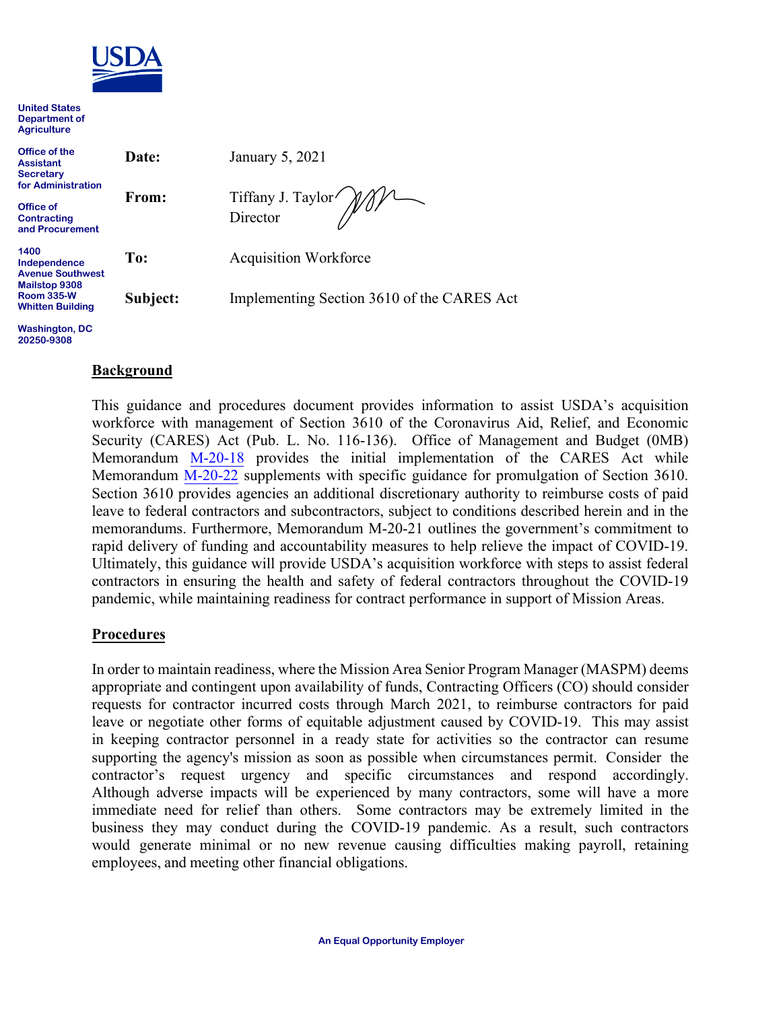

**United States Department of Agriculture** 

| Office of the<br><b>Assistant</b><br><b>Secretary</b><br>for Administration<br>Office of<br><b>Contracting</b><br>and Procurement | Date:    | January 5, 2021                            |
|-----------------------------------------------------------------------------------------------------------------------------------|----------|--------------------------------------------|
|                                                                                                                                   | From:    | Tiffany J. Taylor <i>MM</i>                |
| 1400<br>Independence<br><b>Avenue Southwest</b><br>Mailstop 9308                                                                  | To:      | <b>Acquisition Workforce</b>               |
| <b>Room 335-W</b><br><b>Whitten Building</b>                                                                                      | Subject: | Implementing Section 3610 of the CARES Act |

**Washington, DC 20250-9308**

#### **Background**

This guidance and procedures document provides information to assist USDA's acquisition workforce with management of Section 3610 of the Coronavirus Aid, Relief, and Economic Security (CARES) Act (Pub. L. No. 116-136). Office of Management and Budget (0MB) Memorandum [M-20-18](https://www.acquisition.gov/coronavirus) provides the initial implementation of the CARES Act while Memorandum [M-20-22](https://www.acquisition.gov/coronavirus) supplements with specific guidance for promulgation of Section 3610. Section 3610 provides agencies an additional discretionary authority to reimburse costs of paid leave to federal contractors and subcontractors, subject to conditions described herein and in the memorandums. Furthermore, Memorandum M-20-21 outlines the government's commitment to rapid delivery of funding and accountability measures to help relieve the impact of COVID-19. Ultimately, this guidance will provide USDA's acquisition workforce with steps to assist federal contractors in ensuring the health and safety of federal contractors throughout the COVID-19 pandemic, while maintaining readiness for contract performance in support of Mission Areas.

#### **Procedures**

In order to maintain readiness, where the Mission Area Senior Program Manager (MASPM) deems appropriate and contingent upon availability of funds, Contracting Officers (CO) should consider requests for contractor incurred costs through March 2021, to reimburse contractors for paid leave or negotiate other forms of equitable adjustment caused by COVID-19. This may assist in keeping contractor personnel in a ready state for activities so the contractor can resume supporting the agency's mission as soon as possible when circumstances permit. Consider the contractor's request urgency and specific circumstances and respond accordingly. Although adverse impacts will be experienced by many contractors, some will have a more immediate need for relief than others. Some contractors may be extremely limited in the business they may conduct during the COVID-19 pandemic. As a result, such contractors would generate minimal or no new revenue causing difficulties making payroll, retaining employees, and meeting other financial obligations.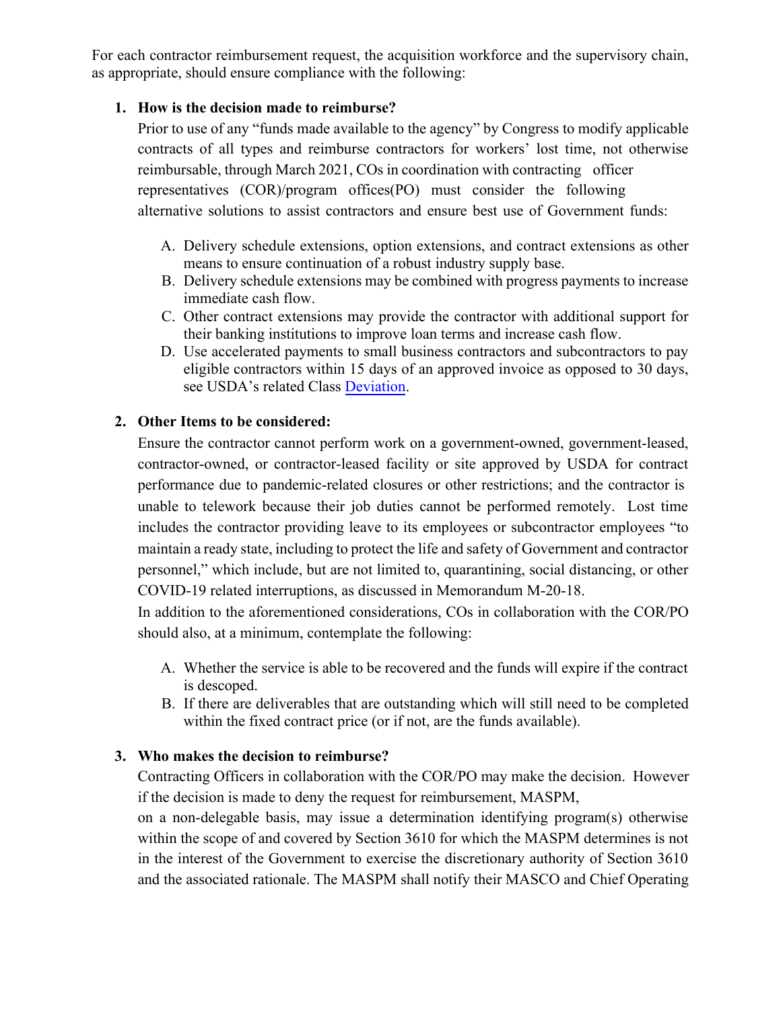For each contractor reimbursement request, the acquisition workforce and the supervisory chain, as appropriate, should ensure compliance with the following:

### **1. How is the decision made to reimburse?**

Prior to use of any "funds made available to the agency" by Congress to modify applicable contracts of all types and reimburse contractors for workers' lost time, not otherwise reimbursable, through March 2021, COs in coordination with contracting officer representatives (COR)/program offices(PO) must consider the following alternative solutions to assist contractors and ensure best use of Government funds:

- A. Delivery schedule extensions, option extensions, and contract extensions as other means to ensure continuation of a robust industry supply base.
- B. Delivery schedule extensions may be combined with progress payments to increase immediate cash flow.
- C. Other contract extensions may provide the contractor with additional support for their banking institutions to improve loan terms and increase cash flow.
- D. Use accelerated payments to small business contractors and subcontractors to pay eligible contractors within 15 days of an approved invoice as opposed to 30 days, see USDA's related Class [Deviation.](https://www.dm.usda.gov/procurement/policy/FARClassDeviations.htm)

#### **2. Other Items to be considered:**

Ensure the contractor cannot perform work on a government-owned, government-leased, contractor-owned, or contractor-leased facility or site approved by USDA for contract performance due to pandemic-related closures or other restrictions; and the contractor is unable to telework because their job duties cannot be performed remotely. Lost time includes the contractor providing leave to its employees or subcontractor employees "to maintain a ready state, including to protect the life and safety of Government and contractor personnel," which include, but are not limited to, quarantining, social distancing, or other COVID-19 related interruptions, as discussed in Memorandum M-20-18.

In addition to the aforementioned considerations, COs in collaboration with the COR/PO should also, at a minimum, contemplate the following:

- A. Whether the service is able to be recovered and the funds will expire if the contract is descoped.
- B. If there are deliverables that are outstanding which will still need to be completed within the fixed contract price (or if not, are the funds available).

### **3. Who makes the decision to reimburse?**

Contracting Officers in collaboration with the COR/PO may make the decision. However if the decision is made to deny the request for reimbursement, MASPM,

on a non-delegable basis, may issue a determination identifying program(s) otherwise within the scope of and covered by Section 3610 for which the MASPM determines is not in the interest of the Government to exercise the discretionary authority of Section 3610 and the associated rationale. The MASPM shall notify their MASCO and Chief Operating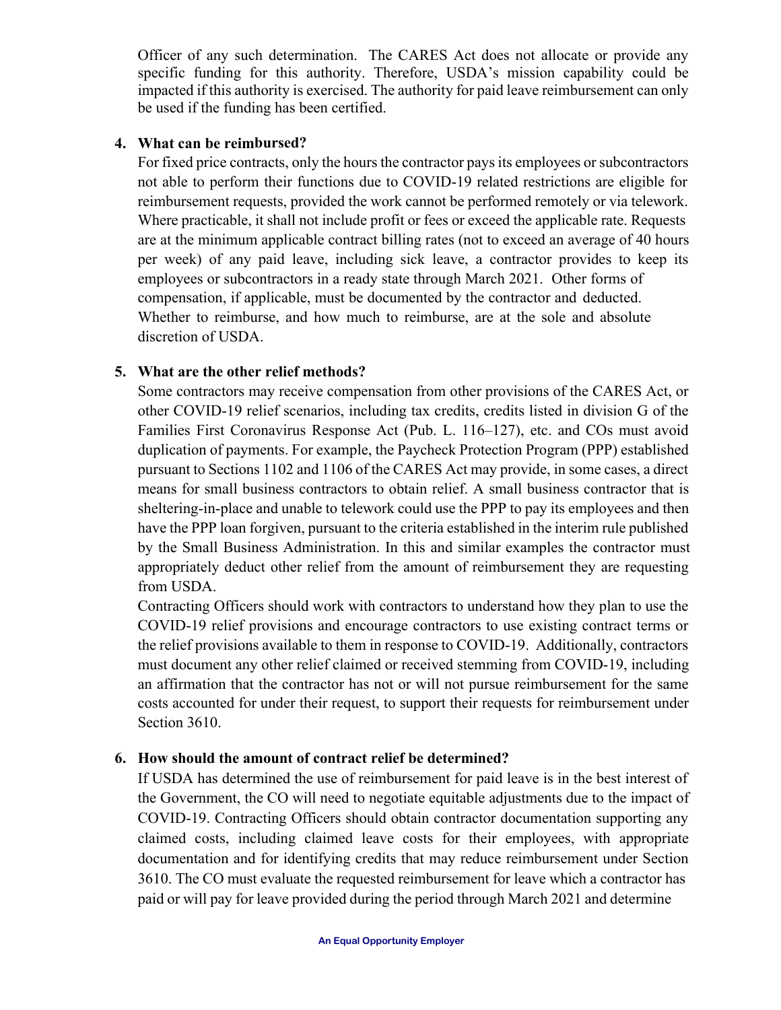Officer of any such determination. The CARES Act does not allocate or provide any specific funding for this authority. Therefore, USDA's mission capability could be impacted if this authority is exercised. The authority for paid leave reimbursement can only be used if the funding has been certified.

#### **4. What can be reimbursed?**

For fixed price contracts, only the hours the contractor pays its employees or subcontractors not able to perform their functions due to COVID-19 related restrictions are eligible for reimbursement requests, provided the work cannot be performed remotely or via telework. Where practicable, it shall not include profit or fees or exceed the applicable rate. Requests are at the minimum applicable contract billing rates (not to exceed an average of 40 hours per week) of any paid leave, including sick leave, a contractor provides to keep its employees or subcontractors in a ready state through March 2021. Other forms of compensation, if applicable, must be documented by the contractor and deducted. Whether to reimburse, and how much to reimburse, are at the sole and absolute discretion of USDA.

# **5. What are the other relief methods?**

Some contractors may receive compensation from other provisions of the CARES Act, or other COVID-19 relief scenarios, including tax credits, credits listed in division G of the Families First Coronavirus Response Act (Pub. L. 116–127), etc. and COs must avoid duplication of payments. For example, the Paycheck Protection Program (PPP) established pursuant to Sections 1102 and 1106 of the CARES Act may provide, in some cases, a direct means for small business contractors to obtain relief. A small business contractor that is sheltering-in-place and unable to telework could use the PPP to pay its employees and then have the PPP loan forgiven, pursuant to the criteria established in the interim rule published by the Small Business Administration. In this and similar examples the contractor must appropriately deduct other relief from the amount of reimbursement they are requesting from USDA.

Contracting Officers should work with contractors to understand how they plan to use the COVID-19 relief provisions and encourage contractors to use existing contract terms or the relief provisions available to them in response to COVID-19. Additionally, contractors must document any other relief claimed or received stemming from COVID-19, including an affirmation that the contractor has not or will not pursue reimbursement for the same costs accounted for under their request, to support their requests for reimbursement under Section 3610.

### **6. How should the amount of contract relief be determined?**

If USDA has determined the use of reimbursement for paid leave is in the best interest of the Government, the CO will need to negotiate equitable adjustments due to the impact of COVID-19. Contracting Officers should obtain contractor documentation supporting any claimed costs, including claimed leave costs for their employees, with appropriate documentation and for identifying credits that may reduce reimbursement under Section 3610. The CO must evaluate the requested reimbursement for leave which a contractor has paid or will pay for leave provided during the period through March 2021 and determine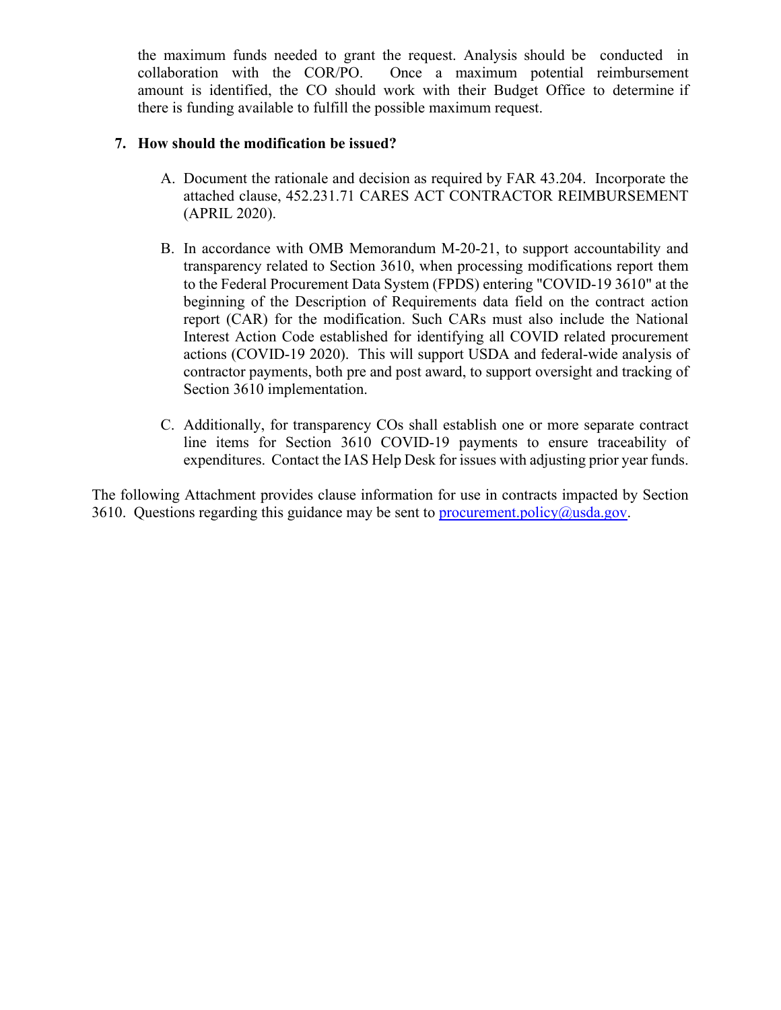the maximum funds needed to grant the request. Analysis should be conducted in collaboration with the COR/PO. Once a maximum potential reimbursement amount is identified, the CO should work with their Budget Office to determine if there is funding available to fulfill the possible maximum request.

#### **7. How should the modification be issued?**

- A. Document the rationale and decision as required by FAR 43.204. Incorporate the attached clause, 452.231.71 CARES ACT CONTRACTOR REIMBURSEMENT (APRIL 2020).
- B. In accordance with OMB Memorandum M-20-21, to support accountability and transparency related to Section 3610, when processing modifications report them to the Federal Procurement Data System (FPDS) entering "COVID-19 3610" at the beginning of the Description of Requirements data field on the contract action report (CAR) for the modification. Such CARs must also include the National Interest Action Code established for identifying all COVID related procurement actions (COVID-19 2020). This will support USDA and federal-wide analysis of contractor payments, both pre and post award, to support oversight and tracking of Section 3610 implementation.
- C. Additionally, for transparency COs shall establish one or more separate contract line items for Section 3610 COVID-19 payments to ensure traceability of expenditures. Contact the IAS Help Desk for issues with adjusting prior year funds.

The following Attachment provides clause information for use in contracts impacted by Section 3610. Questions regarding this guidance may be sent to [procurement.policy@usda.gov.](mailto:procurement.policy@usda.gov)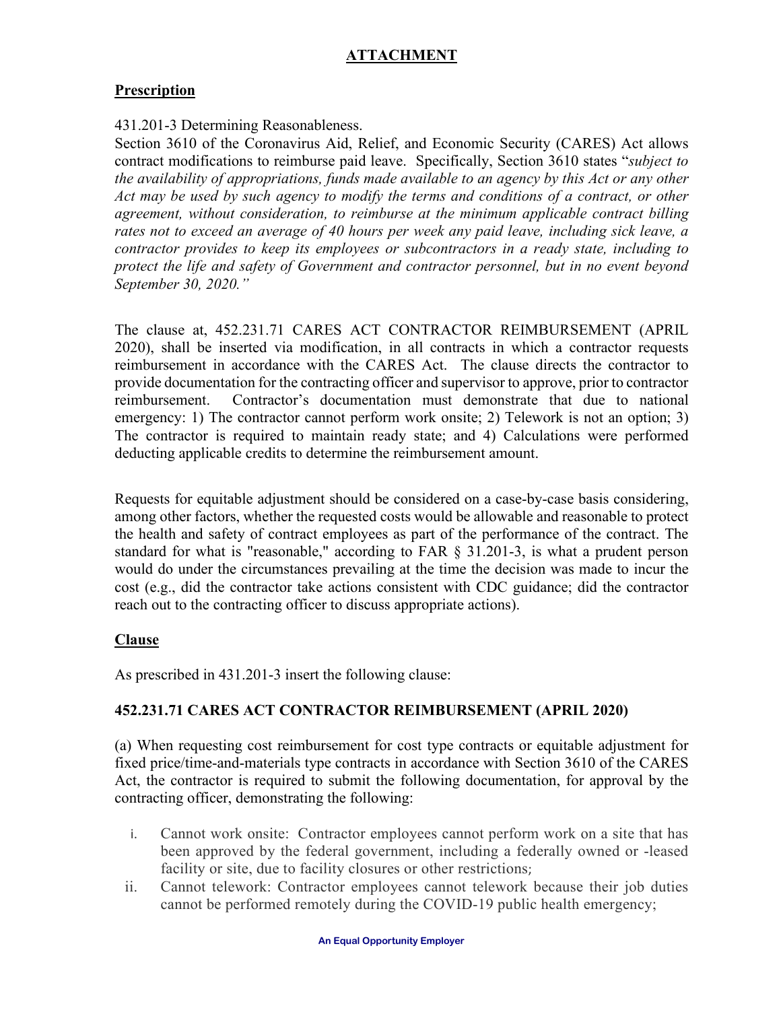# **ATTACHMENT**

# **Prescription**

#### 431.201-3 Determining Reasonableness.

Section 3610 of the Coronavirus Aid, Relief, and Economic Security (CARES) Act allows contract modifications to reimburse paid leave. Specifically, Section 3610 states "*subject to the availability of appropriations, funds made available to an agency by this Act or any other Act may be used by such agency to modify the terms and conditions of a contract, or other agreement, without consideration, to reimburse at the minimum applicable contract billing*  rates not to exceed an average of 40 hours per week any paid leave, including sick leave, a *contractor provides to keep its employees or subcontractors in a ready state, including to protect the life and safety of Government and contractor personnel, but in no event beyond September 30, 2020."*

The clause at, 452.231.71 CARES ACT CONTRACTOR REIMBURSEMENT (APRIL 2020), shall be inserted via modification, in all contracts in which a contractor requests reimbursement in accordance with the CARES Act. The clause directs the contractor to provide documentation for the contracting officer and supervisor to approve, prior to contractor reimbursement. Contractor's documentation must demonstrate that due to national emergency: 1) The contractor cannot perform work onsite; 2) Telework is not an option; 3) The contractor is required to maintain ready state; and 4) Calculations were performed deducting applicable credits to determine the reimbursement amount.

Requests for equitable adjustment should be considered on a case-by-case basis considering, among other factors, whether the requested costs would be allowable and reasonable to protect the health and safety of contract employees as part of the performance of the contract. The standard for what is "reasonable," according to FAR § 31.201-3, is what a prudent person would do under the circumstances prevailing at the time the decision was made to incur the cost (e.g., did the contractor take actions consistent with CDC guidance; did the contractor reach out to the contracting officer to discuss appropriate actions).

### **Clause**

As prescribed in 431.201-3 insert the following clause:

### **452.231.71 CARES ACT CONTRACTOR REIMBURSEMENT (APRIL 2020)**

(a) When requesting cost reimbursement for cost type contracts or equitable adjustment for fixed price/time-and-materials type contracts in accordance with Section 3610 of the CARES Act, the contractor is required to submit the following documentation, for approval by the contracting officer, demonstrating the following:

- i. Cannot work onsite: Contractor employees cannot perform work on a site that has been approved by the federal government, including a federally owned or -leased facility or site, due to facility closures or other restrictions;
- ii. Cannot telework: Contractor employees cannot telework because their job duties cannot be performed remotely during the COVID-19 public health emergency;